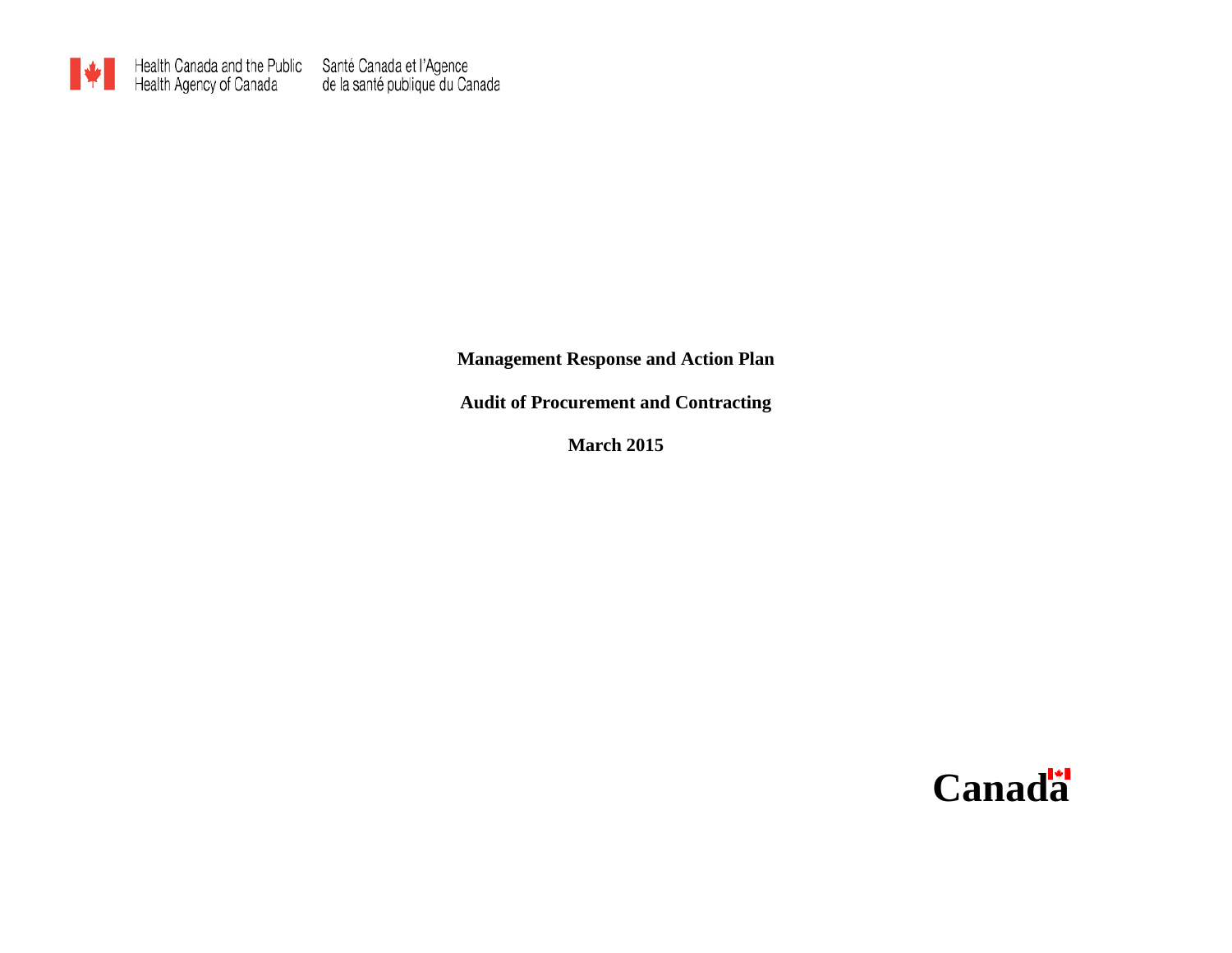

**Management Response and Action Plan**

**Audit of Procurement and Contracting**

**March 2015**

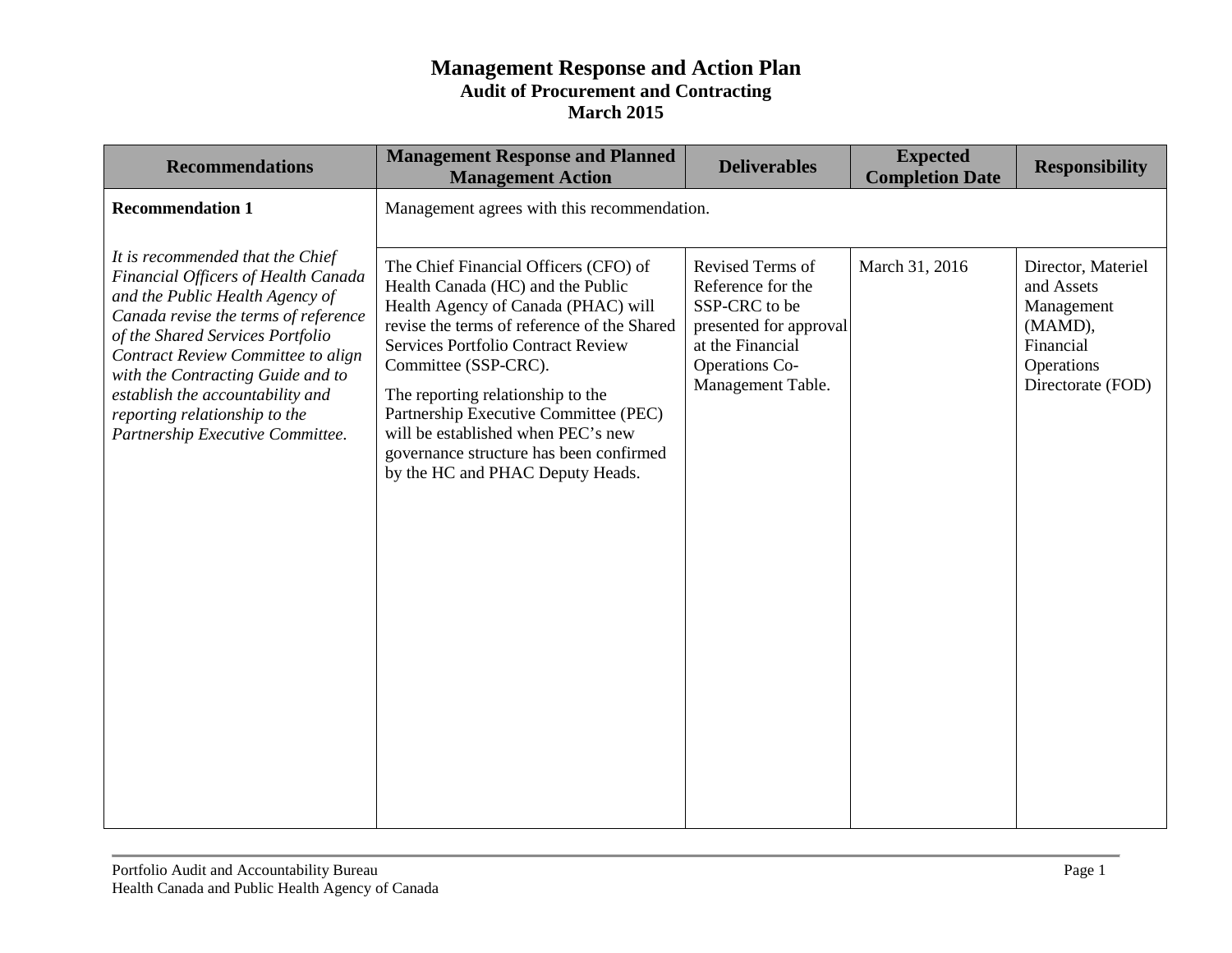| <b>Recommendations</b>                                                                                                                                                                                                                                                                                                                                                     | <b>Management Response and Planned</b><br><b>Management Action</b>                                                                                                                                                                                                                                                                                                                                                                | <b>Deliverables</b>                                                                                                                         | <b>Expected</b><br><b>Completion Date</b> | <b>Responsibility</b>                                                                                     |
|----------------------------------------------------------------------------------------------------------------------------------------------------------------------------------------------------------------------------------------------------------------------------------------------------------------------------------------------------------------------------|-----------------------------------------------------------------------------------------------------------------------------------------------------------------------------------------------------------------------------------------------------------------------------------------------------------------------------------------------------------------------------------------------------------------------------------|---------------------------------------------------------------------------------------------------------------------------------------------|-------------------------------------------|-----------------------------------------------------------------------------------------------------------|
| <b>Recommendation 1</b>                                                                                                                                                                                                                                                                                                                                                    | Management agrees with this recommendation.                                                                                                                                                                                                                                                                                                                                                                                       |                                                                                                                                             |                                           |                                                                                                           |
| It is recommended that the Chief<br>Financial Officers of Health Canada<br>and the Public Health Agency of<br>Canada revise the terms of reference<br>of the Shared Services Portfolio<br>Contract Review Committee to align<br>with the Contracting Guide and to<br>establish the accountability and<br>reporting relationship to the<br>Partnership Executive Committee. | The Chief Financial Officers (CFO) of<br>Health Canada (HC) and the Public<br>Health Agency of Canada (PHAC) will<br>revise the terms of reference of the Shared<br>Services Portfolio Contract Review<br>Committee (SSP-CRC).<br>The reporting relationship to the<br>Partnership Executive Committee (PEC)<br>will be established when PEC's new<br>governance structure has been confirmed<br>by the HC and PHAC Deputy Heads. | Revised Terms of<br>Reference for the<br>SSP-CRC to be<br>presented for approval<br>at the Financial<br>Operations Co-<br>Management Table. | March 31, 2016                            | Director, Materiel<br>and Assets<br>Management<br>(MAMD),<br>Financial<br>Operations<br>Directorate (FOD) |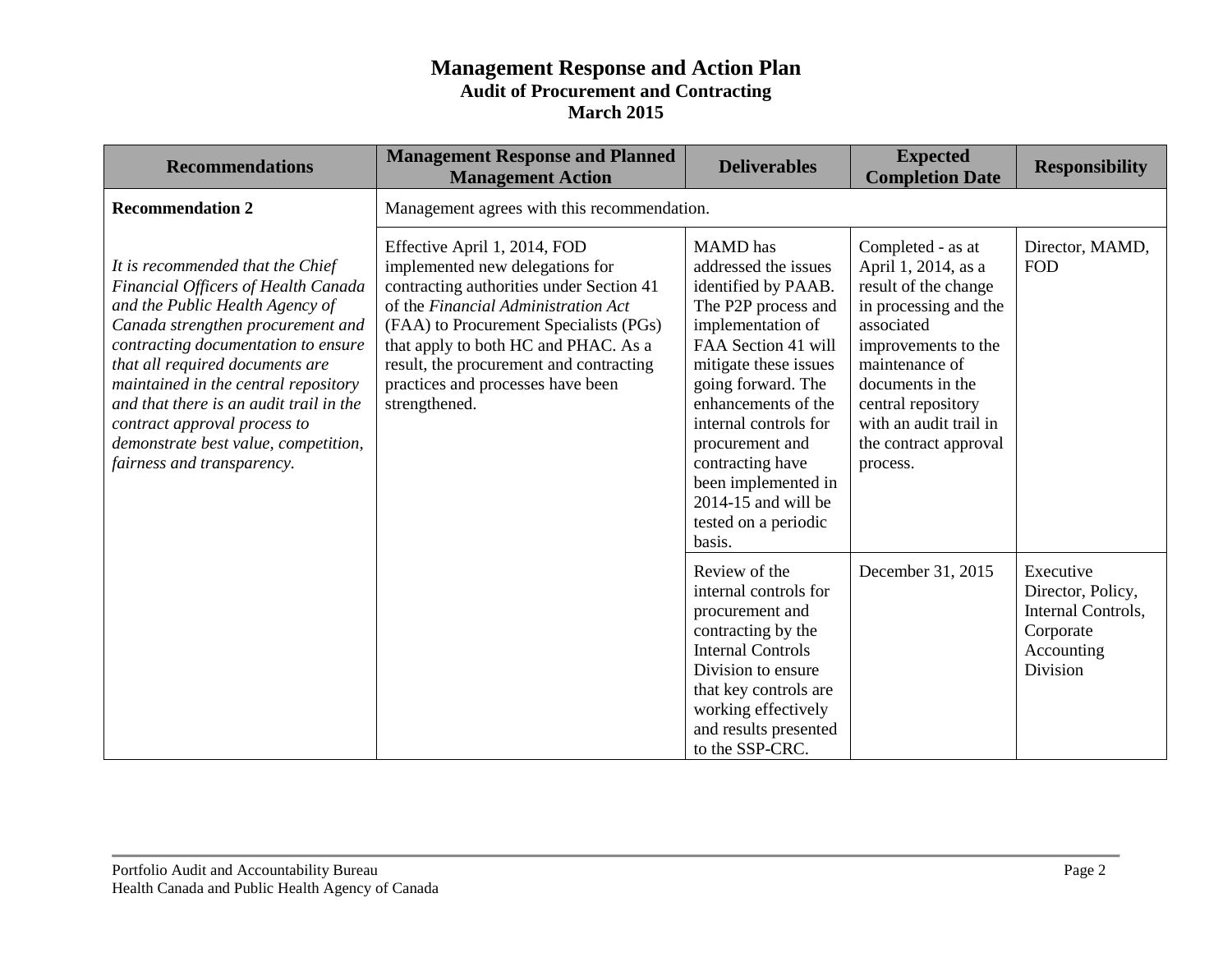| <b>Recommendations</b>                                                                                                                                                                                                                                                                                                                                                                                             | <b>Management Response and Planned</b><br><b>Management Action</b>                                                                                                                                                                                                                                                                    | <b>Deliverables</b>                                                                                                                                                                                                                                                                                                                                       | <b>Expected</b><br><b>Completion Date</b>                                                                                                                                                                                                                 | <b>Responsibility</b>                                                                       |
|--------------------------------------------------------------------------------------------------------------------------------------------------------------------------------------------------------------------------------------------------------------------------------------------------------------------------------------------------------------------------------------------------------------------|---------------------------------------------------------------------------------------------------------------------------------------------------------------------------------------------------------------------------------------------------------------------------------------------------------------------------------------|-----------------------------------------------------------------------------------------------------------------------------------------------------------------------------------------------------------------------------------------------------------------------------------------------------------------------------------------------------------|-----------------------------------------------------------------------------------------------------------------------------------------------------------------------------------------------------------------------------------------------------------|---------------------------------------------------------------------------------------------|
| <b>Recommendation 2</b>                                                                                                                                                                                                                                                                                                                                                                                            | Management agrees with this recommendation.                                                                                                                                                                                                                                                                                           |                                                                                                                                                                                                                                                                                                                                                           |                                                                                                                                                                                                                                                           |                                                                                             |
| It is recommended that the Chief<br>Financial Officers of Health Canada<br>and the Public Health Agency of<br>Canada strengthen procurement and<br>contracting documentation to ensure<br>that all required documents are<br>maintained in the central repository<br>and that there is an audit trail in the<br>contract approval process to<br>demonstrate best value, competition,<br>fairness and transparency. | Effective April 1, 2014, FOD<br>implemented new delegations for<br>contracting authorities under Section 41<br>of the Financial Administration Act<br>(FAA) to Procurement Specialists (PGs)<br>that apply to both HC and PHAC. As a<br>result, the procurement and contracting<br>practices and processes have been<br>strengthened. | <b>MAMD</b> has<br>addressed the issues<br>identified by PAAB.<br>The P2P process and<br>implementation of<br>FAA Section 41 will<br>mitigate these issues<br>going forward. The<br>enhancements of the<br>internal controls for<br>procurement and<br>contracting have<br>been implemented in<br>$2014-15$ and will be<br>tested on a periodic<br>basis. | Completed - as at<br>April 1, 2014, as a<br>result of the change<br>in processing and the<br>associated<br>improvements to the<br>maintenance of<br>documents in the<br>central repository<br>with an audit trail in<br>the contract approval<br>process. | Director, MAMD,<br><b>FOD</b>                                                               |
|                                                                                                                                                                                                                                                                                                                                                                                                                    |                                                                                                                                                                                                                                                                                                                                       | Review of the<br>internal controls for<br>procurement and<br>contracting by the<br><b>Internal Controls</b><br>Division to ensure<br>that key controls are<br>working effectively<br>and results presented<br>to the SSP-CRC.                                                                                                                             | December 31, 2015                                                                                                                                                                                                                                         | Executive<br>Director, Policy,<br>Internal Controls,<br>Corporate<br>Accounting<br>Division |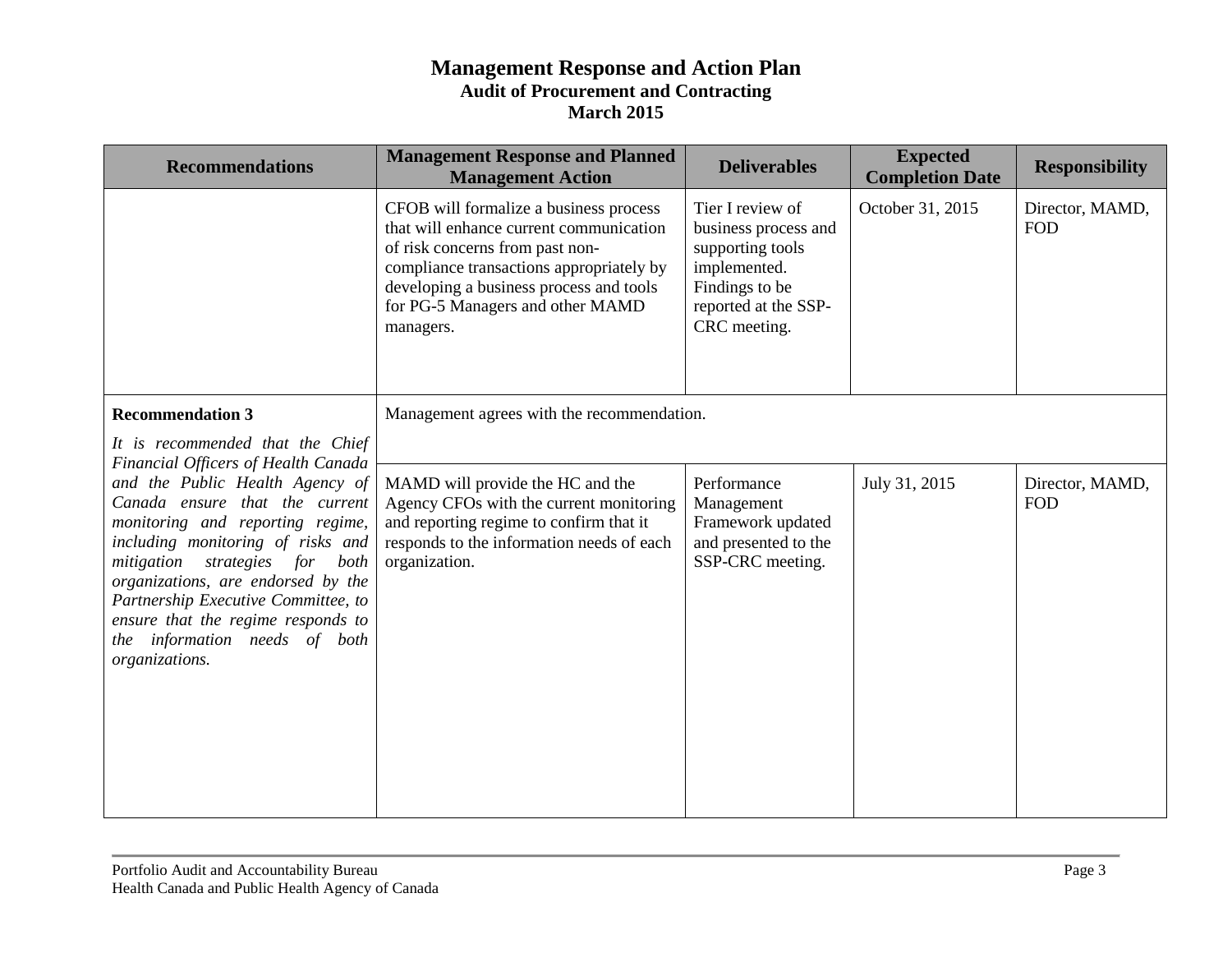| <b>Recommendations</b>                                                                                                                                                                                                                                                                                                                                                                    | <b>Management Response and Planned</b><br><b>Management Action</b>                                                                                                                                                                                           | <b>Deliverables</b>                                                                                                                    | <b>Expected</b><br><b>Completion Date</b> | <b>Responsibility</b>         |
|-------------------------------------------------------------------------------------------------------------------------------------------------------------------------------------------------------------------------------------------------------------------------------------------------------------------------------------------------------------------------------------------|--------------------------------------------------------------------------------------------------------------------------------------------------------------------------------------------------------------------------------------------------------------|----------------------------------------------------------------------------------------------------------------------------------------|-------------------------------------------|-------------------------------|
|                                                                                                                                                                                                                                                                                                                                                                                           | CFOB will formalize a business process<br>that will enhance current communication<br>of risk concerns from past non-<br>compliance transactions appropriately by<br>developing a business process and tools<br>for PG-5 Managers and other MAMD<br>managers. | Tier I review of<br>business process and<br>supporting tools<br>implemented.<br>Findings to be<br>reported at the SSP-<br>CRC meeting. | October 31, 2015                          | Director, MAMD,<br><b>FOD</b> |
| <b>Recommendation 3</b><br>It is recommended that the Chief                                                                                                                                                                                                                                                                                                                               | Management agrees with the recommendation.                                                                                                                                                                                                                   |                                                                                                                                        |                                           |                               |
| Financial Officers of Health Canada<br>and the Public Health Agency of<br>Canada ensure that the current<br>monitoring and reporting regime,<br>including monitoring of risks and<br>mitigation strategies for both<br>organizations, are endorsed by the<br>Partnership Executive Committee, to<br>ensure that the regime responds to<br>the information needs of both<br>organizations. | MAMD will provide the HC and the<br>Agency CFOs with the current monitoring<br>and reporting regime to confirm that it<br>responds to the information needs of each<br>organization.                                                                         | Performance<br>Management<br>Framework updated<br>and presented to the<br>SSP-CRC meeting.                                             | July 31, 2015                             | Director, MAMD,<br><b>FOD</b> |